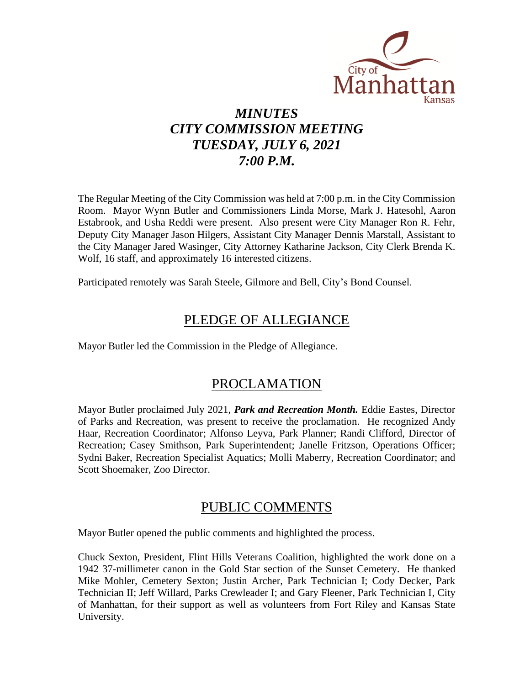

# *MINUTES CITY COMMISSION MEETING TUESDAY, JULY 6, 2021 7:00 P.M.*

The Regular Meeting of the City Commission was held at 7:00 p.m. in the City Commission Room. Mayor Wynn Butler and Commissioners Linda Morse, Mark J. Hatesohl, Aaron Estabrook, and Usha Reddi were present. Also present were City Manager Ron R. Fehr, Deputy City Manager Jason Hilgers, Assistant City Manager Dennis Marstall, Assistant to the City Manager Jared Wasinger, City Attorney Katharine Jackson, City Clerk Brenda K. Wolf, 16 staff, and approximately 16 interested citizens.

Participated remotely was Sarah Steele, Gilmore and Bell, City's Bond Counsel.

## PLEDGE OF ALLEGIANCE

Mayor Butler led the Commission in the Pledge of Allegiance.

## PROCLAMATION

Mayor Butler proclaimed July 2021, *Park and Recreation Month.* Eddie Eastes, Director of Parks and Recreation, was present to receive the proclamation. He recognized Andy Haar, Recreation Coordinator; Alfonso Leyva, Park Planner; Randi Clifford, Director of Recreation; Casey Smithson, Park Superintendent; Janelle Fritzson, Operations Officer; Sydni Baker, Recreation Specialist Aquatics; Molli Maberry, Recreation Coordinator; and Scott Shoemaker, Zoo Director.

### PUBLIC COMMENTS

Mayor Butler opened the public comments and highlighted the process.

Chuck Sexton, President, Flint Hills Veterans Coalition, highlighted the work done on a 1942 37-millimeter canon in the Gold Star section of the Sunset Cemetery. He thanked Mike Mohler, Cemetery Sexton; Justin Archer, Park Technician I; Cody Decker, Park Technician II; Jeff Willard, Parks Crewleader I; and Gary Fleener, Park Technician I, City of Manhattan, for their support as well as volunteers from Fort Riley and Kansas State University.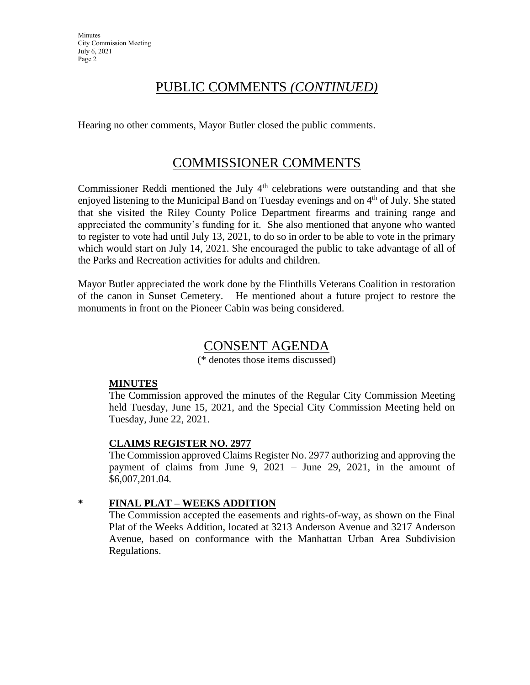### PUBLIC COMMENTS *(CONTINUED)*

Hearing no other comments, Mayor Butler closed the public comments.

### COMMISSIONER COMMENTS

Commissioner Reddi mentioned the July  $4<sup>th</sup>$  celebrations were outstanding and that she enjoyed listening to the Municipal Band on Tuesday evenings and on  $4<sup>th</sup>$  of July. She stated that she visited the Riley County Police Department firearms and training range and appreciated the community's funding for it. She also mentioned that anyone who wanted to register to vote had until July 13, 2021, to do so in order to be able to vote in the primary which would start on July 14, 2021. She encouraged the public to take advantage of all of the Parks and Recreation activities for adults and children.

Mayor Butler appreciated the work done by the Flinthills Veterans Coalition in restoration of the canon in Sunset Cemetery. He mentioned about a future project to restore the monuments in front on the Pioneer Cabin was being considered.

### CONSENT AGENDA

(\* denotes those items discussed)

### **MINUTES**

The Commission approved the minutes of the Regular City Commission Meeting held Tuesday, June 15, 2021, and the Special City Commission Meeting held on Tuesday, June 22, 2021.

### **CLAIMS REGISTER NO. 2977**

The Commission approved Claims Register No. 2977 authorizing and approving the payment of claims from June 9, 2021 – June 29, 2021, in the amount of \$6,007,201.04.

### **\* FINAL PLAT – WEEKS ADDITION**

The Commission accepted the easements and rights-of-way, as shown on the Final Plat of the Weeks Addition, located at 3213 Anderson Avenue and 3217 Anderson Avenue, based on conformance with the Manhattan Urban Area Subdivision Regulations.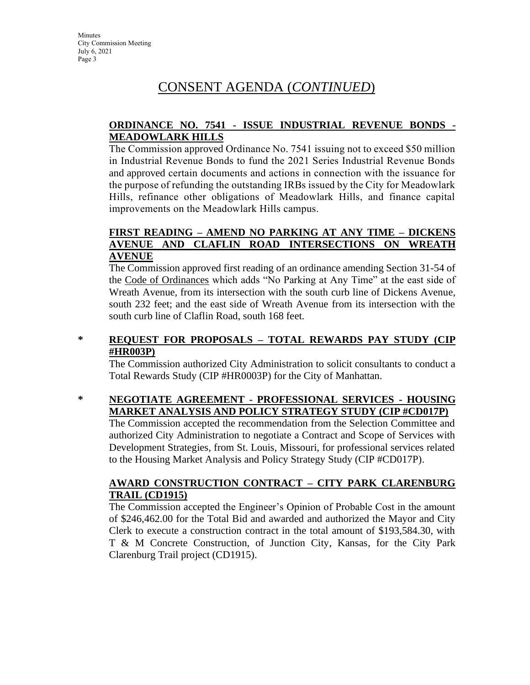# CONSENT AGENDA (*CONTINUED*)

### **ORDINANCE NO. 7541 - ISSUE INDUSTRIAL REVENUE BONDS - MEADOWLARK HILLS**

The Commission approved Ordinance No. 7541 issuing not to exceed \$50 million in Industrial Revenue Bonds to fund the 2021 Series Industrial Revenue Bonds and approved certain documents and actions in connection with the issuance for the purpose of refunding the outstanding IRBs issued by the City for Meadowlark Hills, refinance other obligations of Meadowlark Hills, and finance capital improvements on the Meadowlark Hills campus.

### **FIRST READING – AMEND NO PARKING AT ANY TIME – DICKENS AVENUE AND CLAFLIN ROAD INTERSECTIONS ON WREATH AVENUE**

The Commission approved first reading of an ordinance amending Section 31-54 of the Code of Ordinances which adds "No Parking at Any Time" at the east side of Wreath Avenue, from its intersection with the south curb line of Dickens Avenue, south 232 feet; and the east side of Wreath Avenue from its intersection with the south curb line of Claflin Road, south 168 feet.

### **\* REQUEST FOR PROPOSALS – TOTAL REWARDS PAY STUDY (CIP #HR003P)**

The Commission authorized City Administration to solicit consultants to conduct a Total Rewards Study (CIP #HR0003P) for the City of Manhattan.

### **\* NEGOTIATE AGREEMENT - PROFESSIONAL SERVICES - HOUSING MARKET ANALYSIS AND POLICY STRATEGY STUDY (CIP #CD017P)**

The Commission accepted the recommendation from the Selection Committee and authorized City Administration to negotiate a Contract and Scope of Services with Development Strategies, from St. Louis, Missouri, for professional services related to the Housing Market Analysis and Policy Strategy Study (CIP #CD017P).

#### **AWARD CONSTRUCTION CONTRACT – CITY PARK CLARENBURG TRAIL (CD1915)**

The Commission accepted the Engineer's Opinion of Probable Cost in the amount of \$246,462.00 for the Total Bid and awarded and authorized the Mayor and City Clerk to execute a construction contract in the total amount of \$193,584.30, with T & M Concrete Construction, of Junction City, Kansas, for the City Park Clarenburg Trail project (CD1915).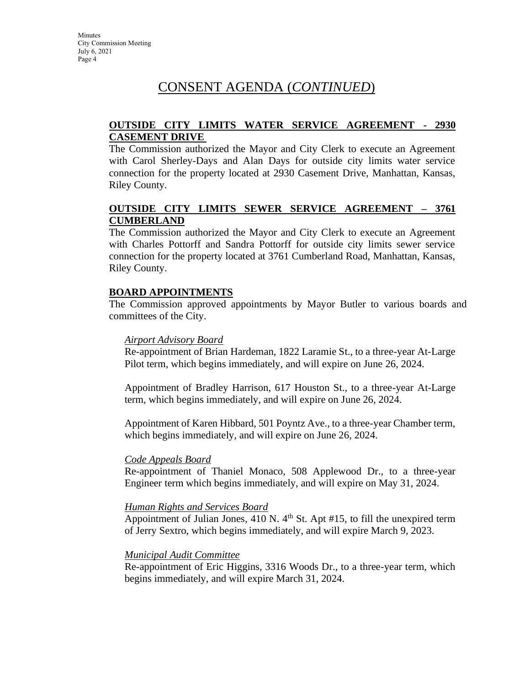## CONSENT AGENDA (*CONTINUED*)

### **OUTSIDE CITY LIMITS WATER SERVICE AGREEMENT - 2930 CASEMENT DRIVE**

The Commission authorized the Mayor and City Clerk to execute an Agreement with Carol Sherley-Days and Alan Days for outside city limits water service connection for the property located at 2930 Casement Drive, Manhattan, Kansas, Riley County.

### **OUTSIDE CITY LIMITS SEWER SERVICE AGREEMENT – 3761 CUMBERLAND**

The Commission authorized the Mayor and City Clerk to execute an Agreement with Charles Pottorff and Sandra Pottorff for outside city limits sewer service connection for the property located at 3761 Cumberland Road, Manhattan, Kansas, Riley County.

### **BOARD APPOINTMENTS**

The Commission approved appointments by Mayor Butler to various boards and committees of the City.

#### *Airport Advisory Board*

Re-appointment of Brian Hardeman, 1822 Laramie St., to a three-year At-Large Pilot term, which begins immediately, and will expire on June 26, 2024.

Appointment of Bradley Harrison, 617 Houston St., to a three-year At-Large term, which begins immediately, and will expire on June 26, 2024.

Appointment of Karen Hibbard, 501 Poyntz Ave., to a three-year Chamber term, which begins immediately, and will expire on June 26, 2024.

#### *Code Appeals Board*

Re-appointment of Thaniel Monaco, 508 Applewood Dr., to a three-year Engineer term which begins immediately, and will expire on May 31, 2024.

#### *Human Rights and Services Board*

Appointment of Julian Jones,  $410 \text{ N}$ .  $4^{\text{th}}$  St. Apt #15, to fill the unexpired term of Jerry Sextro, which begins immediately, and will expire March 9, 2023.

#### *Municipal Audit Committee*

Re-appointment of Eric Higgins, 3316 Woods Dr., to a three-year term, which begins immediately, and will expire March 31, 2024.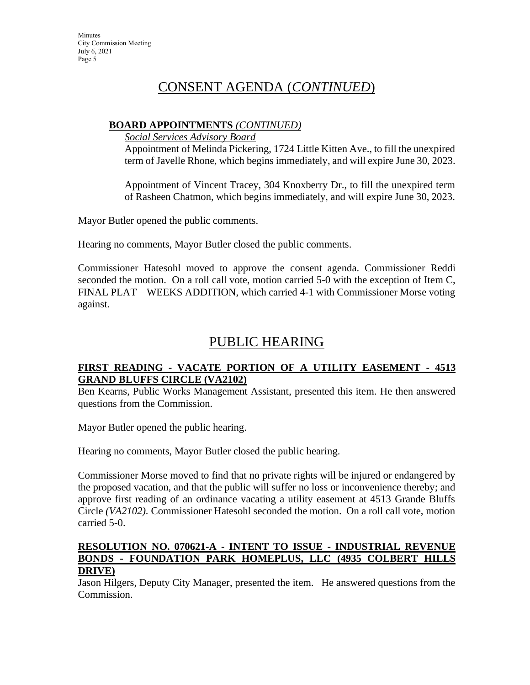### CONSENT AGENDA (*CONTINUED*)

#### **BOARD APPOINTMENTS** *(CONTINUED)*

*Social Services Advisory Board*

Appointment of Melinda Pickering, 1724 Little Kitten Ave., to fill the unexpired term of Javelle Rhone, which begins immediately, and will expire June 30, 2023.

Appointment of Vincent Tracey, 304 Knoxberry Dr., to fill the unexpired term of Rasheen Chatmon, which begins immediately, and will expire June 30, 2023.

Mayor Butler opened the public comments.

Hearing no comments, Mayor Butler closed the public comments.

Commissioner Hatesohl moved to approve the consent agenda. Commissioner Reddi seconded the motion. On a roll call vote, motion carried 5-0 with the exception of Item C, FINAL PLAT – WEEKS ADDITION, which carried 4-1 with Commissioner Morse voting against.

### PUBLIC HEARING

### **FIRST READING - VACATE PORTION OF A UTILITY EASEMENT - 4513 GRAND BLUFFS CIRCLE (VA2102)**

Ben Kearns, Public Works Management Assistant, presented this item. He then answered questions from the Commission.

Mayor Butler opened the public hearing.

Hearing no comments, Mayor Butler closed the public hearing.

Commissioner Morse moved to find that no private rights will be injured or endangered by the proposed vacation, and that the public will suffer no loss or inconvenience thereby; and approve first reading of an ordinance vacating a utility easement at 4513 Grande Bluffs Circle *(VA2102).* Commissioner Hatesohl seconded the motion. On a roll call vote, motion carried 5-0.

### **RESOLUTION NO. 070621-A - INTENT TO ISSUE - INDUSTRIAL REVENUE BONDS - FOUNDATION PARK HOMEPLUS, LLC (4935 COLBERT HILLS DRIVE)**

Jason Hilgers, Deputy City Manager, presented the item. He answered questions from the Commission.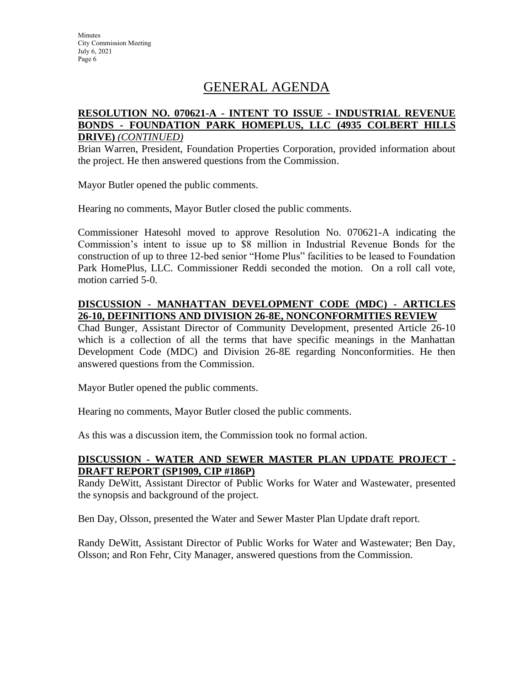## GENERAL AGENDA

#### **RESOLUTION NO. 070621-A - INTENT TO ISSUE - INDUSTRIAL REVENUE BONDS - FOUNDATION PARK HOMEPLUS, LLC (4935 COLBERT HILLS DRIVE)** *(CONTINUED)*

Brian Warren, President, Foundation Properties Corporation, provided information about the project. He then answered questions from the Commission.

Mayor Butler opened the public comments.

Hearing no comments, Mayor Butler closed the public comments.

Commissioner Hatesohl moved to approve Resolution No. 070621-A indicating the Commission's intent to issue up to \$8 million in Industrial Revenue Bonds for the construction of up to three 12-bed senior "Home Plus" facilities to be leased to Foundation Park HomePlus, LLC. Commissioner Reddi seconded the motion. On a roll call vote, motion carried 5-0.

#### **DISCUSSION - MANHATTAN DEVELOPMENT CODE (MDC) - ARTICLES 26-10, DEFINITIONS AND DIVISION 26-8E, NONCONFORMITIES REVIEW**

Chad Bunger, Assistant Director of Community Development, presented Article 26-10 which is a collection of all the terms that have specific meanings in the Manhattan Development Code (MDC) and Division 26-8E regarding Nonconformities. He then answered questions from the Commission.

Mayor Butler opened the public comments.

Hearing no comments, Mayor Butler closed the public comments.

As this was a discussion item, the Commission took no formal action.

#### **DISCUSSION - WATER AND SEWER MASTER PLAN UPDATE PROJECT - DRAFT REPORT (SP1909, CIP #186P)**

Randy DeWitt, Assistant Director of Public Works for Water and Wastewater, presented the synopsis and background of the project.

Ben Day, Olsson, presented the Water and Sewer Master Plan Update draft report.

Randy DeWitt, Assistant Director of Public Works for Water and Wastewater; Ben Day, Olsson; and Ron Fehr, City Manager, answered questions from the Commission.